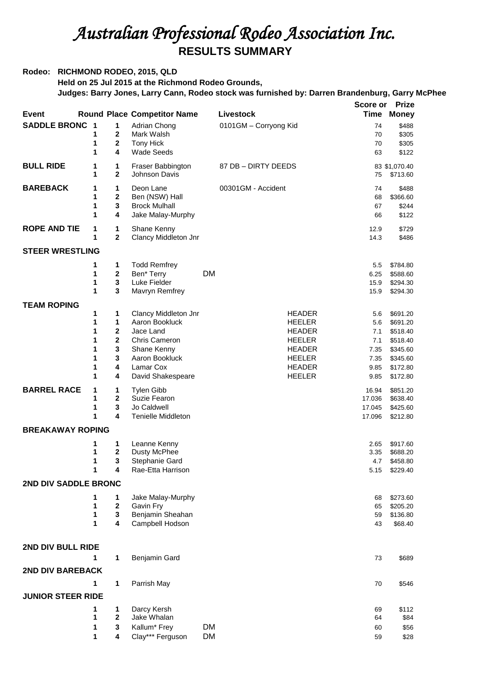## *Australian Professional Rodeo Association Inc.*  **RESULTS SUMMARY**

## **Rodeo: RICHMOND RODEO, 2015, QLD**

**Held on 25 Jul 2015 at the Richmond Rodeo Grounds,** 

## **Judges: Barry Jones, Larry Cann, Rodeo stock was furnished by: Darren Brandenburg, Garry McPhee**

|                          |                         |                         |                                     |           |                       | Score or | <b>Prize</b>      |
|--------------------------|-------------------------|-------------------------|-------------------------------------|-----------|-----------------------|----------|-------------------|
| Event                    |                         |                         | <b>Round Place Competitor Name</b>  |           | Livestock             | Time     | <b>Money</b>      |
| <b>SADDLE BRONC</b>      | $\overline{\mathbf{1}}$ | 1                       | Adrian Chong                        |           | 0101GM - Corryong Kid | 74       | \$488             |
|                          | 1                       | $\mathbf 2$             | Mark Walsh                          |           |                       | 70       | \$305             |
|                          | 1                       | $\mathbf{2}$            | Tony Hick                           |           |                       | 70       | \$305             |
|                          | 1                       | 4                       | <b>Wade Seeds</b>                   |           |                       | 63       | \$122             |
| <b>BULL RIDE</b>         | 1                       | 1                       | Fraser Babbington                   |           | 87 DB - DIRTY DEEDS   |          | 83 \$1,070.40     |
|                          | 1                       | $\mathbf 2$             | Johnson Davis                       |           |                       | 75       | \$713.60          |
| <b>BAREBACK</b>          |                         |                         |                                     |           |                       |          |                   |
|                          | 1<br>1                  | 1<br>$\mathbf{2}$       | Deon Lane<br>Ben (NSW) Hall         |           | 00301GM - Accident    | 74<br>68 | \$488<br>\$366.60 |
|                          | 1                       | $\mathbf 3$             | <b>Brock Mulhall</b>                |           |                       | 67       | \$244             |
|                          | 1                       | 4                       | Jake Malay-Murphy                   |           |                       | 66       | \$122             |
|                          |                         |                         |                                     |           |                       |          |                   |
| <b>ROPE AND TIE</b>      | 1                       | 1                       | Shane Kenny                         |           |                       | 12.9     | \$729             |
|                          | 1                       | $\mathbf{2}$            | Clancy Middleton Jnr                |           |                       | 14.3     | \$486             |
| <b>STEER WRESTLING</b>   |                         |                         |                                     |           |                       |          |                   |
|                          | 1                       | 1                       | <b>Todd Remfrey</b>                 |           |                       | 5.5      | \$784.80          |
|                          | 1                       | $\bf 2$                 | Ben* Terry                          | <b>DM</b> |                       | 6.25     | \$588.60          |
|                          | 1                       | $\mathbf 3$             | Luke Fielder                        |           |                       | 15.9     | \$294.30          |
|                          | 1                       | 3                       | Mavryn Remfrey                      |           |                       | 15.9     | \$294.30          |
| <b>TEAM ROPING</b>       |                         |                         |                                     |           |                       |          |                   |
|                          | 1                       | 1                       | Clancy Middleton Jnr                |           | <b>HEADER</b>         | 5.6      | \$691.20          |
|                          | 1                       | 1                       | Aaron Bookluck                      |           | <b>HEELER</b>         | 5.6      | \$691.20          |
|                          | 1                       | $\mathbf{2}$            | Jace Land                           |           | <b>HEADER</b>         | 7.1      | \$518.40          |
|                          | 1                       | $\overline{\mathbf{2}}$ | Chris Cameron                       |           | <b>HEELER</b>         | 7.1      | \$518.40          |
|                          | 1                       | 3                       | Shane Kenny                         |           | <b>HEADER</b>         | 7.35     | \$345.60          |
|                          | 1                       | 3                       | Aaron Bookluck                      |           | <b>HEELER</b>         | 7.35     | \$345.60          |
|                          | 1                       | 4                       | Lamar Cox                           |           | <b>HEADER</b>         | 9.85     | \$172.80          |
|                          | 1                       | 4                       | David Shakespeare                   |           | <b>HEELER</b>         | 9.85     | \$172.80          |
| <b>BARREL RACE</b>       | 1                       | 1                       | <b>Tylen Gibb</b>                   |           |                       | 16.94    | \$851.20          |
|                          | 1                       | $\mathbf 2$             | Suzie Fearon                        |           |                       | 17.036   | \$638.40          |
|                          | 1                       | 3                       | Jo Caldwell                         |           |                       | 17.045   | \$425.60          |
|                          | 1                       | 4                       | <b>Tenielle Middleton</b>           |           |                       | 17.096   | \$212.80          |
| <b>BREAKAWAY ROPING</b>  |                         |                         |                                     |           |                       |          |                   |
|                          | 1                       | 1                       | Leanne Kenny                        |           |                       | 2.65     | \$917.60          |
|                          | 1                       | $\mathbf 2$             | <b>Dusty McPhee</b>                 |           |                       | 3.35     | \$688.20          |
|                          | 1                       | 3                       | Stephanie Gard                      |           |                       | 4.7      | \$458.80          |
|                          | 1                       | 4                       | Rae-Etta Harrison                   |           |                       | 5.15     | \$229.40          |
| 2ND DIV SADDLE BRONC     |                         |                         |                                     |           |                       |          |                   |
|                          |                         |                         |                                     |           |                       |          |                   |
|                          |                         | 1                       | Jake Malay-Murphy                   |           |                       | 68       | \$273.60          |
|                          | 1                       | 2                       | Gavin Fry                           |           |                       | 65       | \$205.20          |
|                          | 1<br>1                  | 3<br>4                  | Benjamin Sheahan<br>Campbell Hodson |           |                       | 59       | \$136.80          |
|                          |                         |                         |                                     |           |                       | 43       | \$68.40           |
|                          |                         |                         |                                     |           |                       |          |                   |
| 2ND DIV BULL RIDE        |                         |                         |                                     |           |                       |          |                   |
|                          | 1                       | 1                       | Benjamin Gard                       |           |                       | 73       | \$689             |
| 2ND DIV BAREBACK         |                         |                         |                                     |           |                       |          |                   |
|                          | 1                       | 1                       | Parrish May                         |           |                       | 70       | \$546             |
| <b>JUNIOR STEER RIDE</b> |                         |                         |                                     |           |                       |          |                   |
|                          | 1                       | 1                       | Darcy Kersh                         |           |                       | 69       | \$112             |
|                          | 1                       | 2                       | Jake Whalan                         |           |                       | 64       | \$84              |
|                          | 1                       | 3                       | Kallum* Frey                        | <b>DM</b> |                       | 60       | \$56              |
|                          | 1                       | 4                       | Clay*** Ferguson                    | <b>DM</b> |                       | 59       | \$28              |